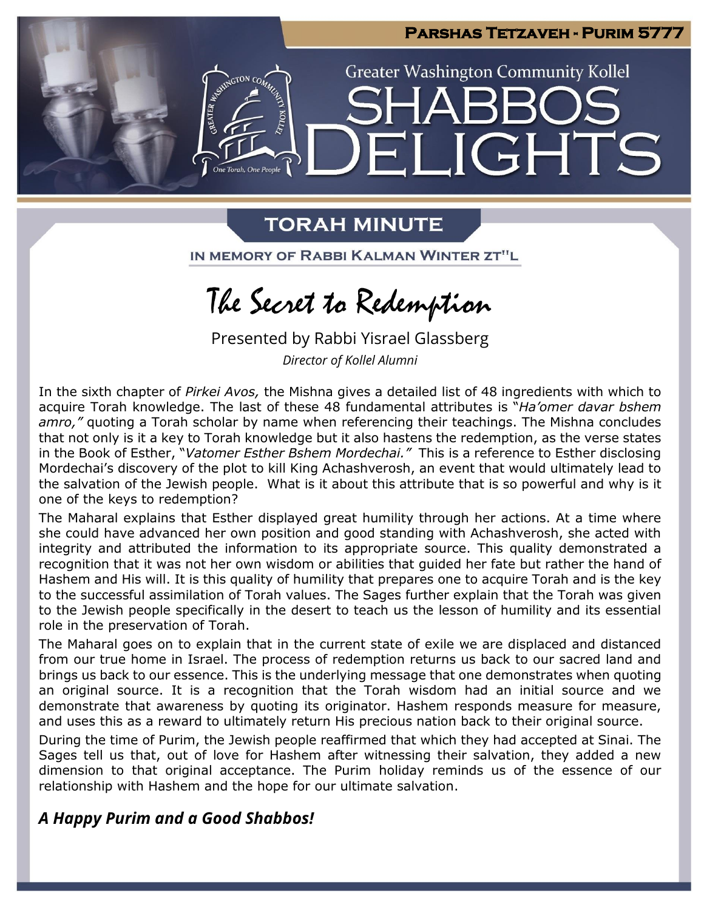

## **TORAH MINUTE**

IN MEMORY OF RABBI KALMAN WINTER ZT"L

# The Secret to Redemption

Presented by Rabbi Yisrael Glassberg *Director of Kollel Alumni*

In the sixth chapter of *Pirkei Avos,* the Mishna gives a detailed list of 48 ingredients with which to acquire Torah knowledge. The last of these 48 fundamental attributes is "*Ha'omer davar bshem amro,"* quoting a Torah scholar by name when referencing their teachings. The Mishna concludes that not only is it a key to Torah knowledge but it also hastens the redemption, as the verse states in the Book of Esther, "*Vatomer Esther Bshem Mordechai."* This is a reference to Esther disclosing Mordechai's discovery of the plot to kill King Achashverosh, an event that would ultimately lead to the salvation of the Jewish people. What is it about this attribute that is so powerful and why is it one of the keys to redemption?

The Maharal explains that Esther displayed great humility through her actions. At a time where she could have advanced her own position and good standing with Achashverosh, she acted with integrity and attributed the information to its appropriate source. This quality demonstrated a recognition that it was not her own wisdom or abilities that guided her fate but rather the hand of Hashem and His will. It is this quality of humility that prepares one to acquire Torah and is the key to the successful assimilation of Torah values. The Sages further explain that the Torah was given to the Jewish people specifically in the desert to teach us the lesson of humility and its essential role in the preservation of Torah.

The Maharal goes on to explain that in the current state of exile we are displaced and distanced from our true home in Israel. The process of redemption returns us back to our sacred land and brings us back to our essence. This is the underlying message that one demonstrates when quoting an original source. It is a recognition that the Torah wisdom had an initial source and we demonstrate that awareness by quoting its originator. Hashem responds measure for measure, and uses this as a reward to ultimately return His precious nation back to their original source.

During the time of Purim, the Jewish people reaffirmed that which they had accepted at Sinai. The Sages tell us that, out of love for Hashem after witnessing their salvation, they added a new dimension to that original acceptance. The Purim holiday reminds us of the essence of our relationship with Hashem and the hope for our ultimate salvation.

## *A Happy Purim and a Good Shabbos!*